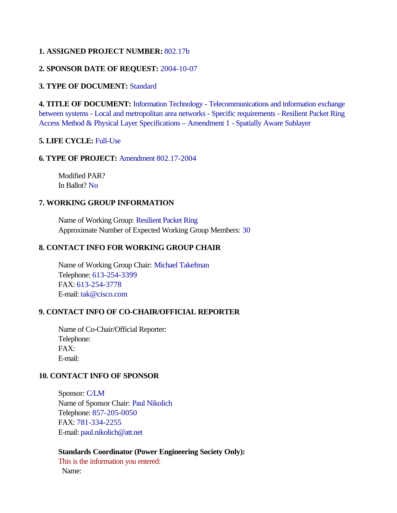#### **1. ASSIGNED PROJECT NUMBER:** 802.17b

# **2. SPONSOR DATE OF REQUEST:** 2004-10-07

## **3. TYPE OF DOCUMENT:** Standard

**4. TITLE OF DOCUMENT:** Information Technology - Telecommunications and information exchange between systems - Local and metropolitan area networks - Specific requirements - Resilient Packet Ring Access Method & Physical Layer Specifications – Amendment 1 - Spatially Aware Sublayer

# **5. LIFE CYCLE:** Full-Use

## **6. TYPE OF PROJECT:** Amendment 802.17-2004

Modified PAR? In Ballot? No

# **7. WORKING GROUP INFORMATION**

Name of Working Group: Resilient Packet Ring Approximate Number of Expected Working Group Members: 30

# **8. CONTACT INFO FOR WORKING GROUP CHAIR**

Name of Working Group Chair: Michael Takefman Telephone: 613-254-3399 FAX: 613-254-3778 E-mail: tak@cisco.com

## **9. CONTACT INFO OF CO-CHAIR/OFFICIAL REPORTER**

Name of Co-Chair/Official Reporter: Telephone: FAX: E-mail:

## **10. CONTACT INFO OF SPONSOR**

Sponsor: C/LM Name of Sponsor Chair: Paul Nikolich Telephone: 857-205-0050 FAX: 781-334-2255 E-mail: paul.nikolich@att.net

**Standards Coordinator (Power Engineering Society Only):** This is the information you entered: Name: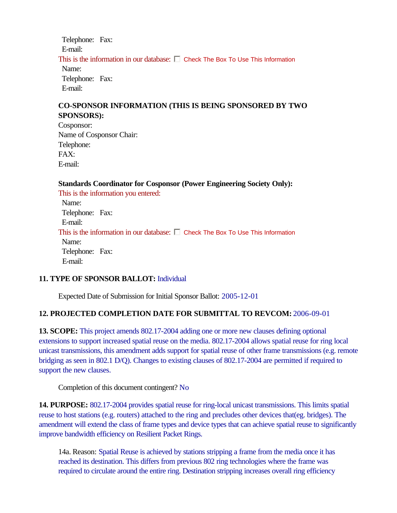Telephone: Fax: E-mail: This is the information in our database:  $\square$  Check The Box To Use This Information Name: Telephone: Fax: E-mail:

#### **CO-SPONSOR INFORMATION (THIS IS BEING SPONSORED BY TWO SPONSORS):**

Cosponsor: Name of Cosponsor Chair: Telephone: FAX: E-mail:

**Standards Coordinator for Cosponsor (Power Engineering Society Only):**  This is the information you entered: Name: Telephone: Fax: E-mail: This is the information in our database:  $\Box$  Check The Box To Use This Information Name: Telephone: Fax: E-mail:

#### **11. TYPE OF SPONSOR BALLOT:** Individual

Expected Date of Submission for Initial Sponsor Ballot: 2005-12-01

#### **12. PROJECTED COMPLETION DATE FOR SUBMITTAL TO REVCOM:** 2006-09-01

**13. SCOPE:** This project amends 802.17-2004 adding one or more new clauses defining optional extensions to support increased spatial reuse on the media. 802.17-2004 allows spatial reuse for ring local unicast transmissions, this amendment adds support for spatial reuse of other frame transmissions (e.g. remote bridging as seen in 802.1 D/Q). Changes to existing clauses of 802.17-2004 are permitted if required to support the new clauses.

Completion of this document contingent? No

**14. PURPOSE:** 802.17-2004 provides spatial reuse for ring-local unicast transmissions. This limits spatial reuse to host stations (e.g. routers) attached to the ring and precludes other devices that(eg. bridges). The amendment will extend the class of frame types and device types that can achieve spatial reuse to significantly improve bandwidth efficiency on Resilient Packet Rings.

14a. Reason: Spatial Reuse is achieved by stations stripping a frame from the media once it has reached its destination. This differs from previous 802 ring technologies where the frame was required to circulate around the entire ring. Destination stripping increases overall ring efficiency